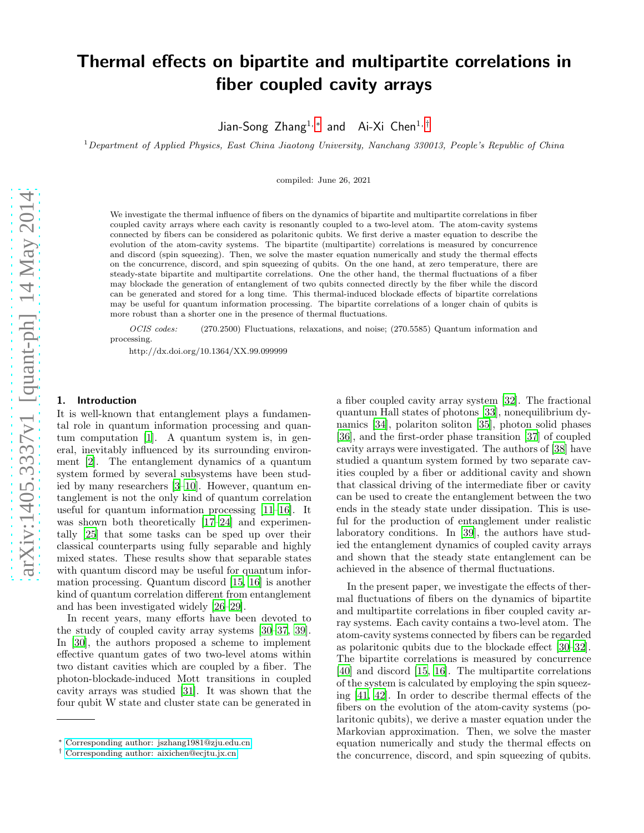# Thermal effects on bipartite and multipartite correlations in fiber coupled cavity arrays

Jian-Song Zhang<sup>1,</sup>\* and Ai-Xi Chen<sup>1,[†](#page-0-1)</sup>

 $1$ Department of Applied Physics, East China Jiaotong University, Nanchang 330013, People's Republic of China

compiled: June 26, 2021

We investigate the thermal influence of fibers on the dynamics of bipartite and multipartite correlations in fiber coupled cavity arrays where each cavity is resonantly coupled to a two-level atom. The atom-cavity systems connected by fibers can be considered as polaritonic qubits. We first derive a master equation to describe the evolution of the atom-cavity systems. The bipartite (multipartite) correlations is measured by concurrence and discord (spin squeezing). Then, we solve the master equation numerically and study the thermal effects on the concurrence, discord, and spin squeezing of qubits. On the one hand, at zero temperature, there are steady-state bipartite and multipartite correlations. One the other hand, the thermal fluctuations of a fiber may blockade the generation of entanglement of two qubits connected directly by the fiber while the discord can be generated and stored for a long time. This thermal-induced blockade effects of bipartite correlations may be useful for quantum information processing. The bipartite correlations of a longer chain of qubits is more robust than a shorter one in the presence of thermal fluctuations.

OCIS codes: (270.2500) Fluctuations, relaxations, and noise; (270.5585) Quantum information and processing.

http://dx.doi.org/10.1364/XX.99.099999

## 1. Introduction

It is well-known that entanglement plays a fundamental role in quantum information processing and quantum computation [\[1](#page-6-0)]. A quantum system is, in general, inevitably influenced by its surrounding environment [\[2\]](#page-6-1). The entanglement dynamics of a quantum system formed by several subsystems have been studied by many researchers [\[3](#page-6-2)[–10\]](#page-6-3). However, quantum entanglement is not the only kind of quantum correlation useful for quantum information processing [\[11](#page-6-4)[–16](#page-6-5)]. It was shown both theoretically [\[17](#page-6-6)[–24\]](#page-6-7) and experimentally [\[25\]](#page-6-8) that some tasks can be sped up over their classical counterparts using fully separable and highly mixed states. These results show that separable states with quantum discord may be useful for quantum information processing. Quantum discord [\[15,](#page-6-9) [16\]](#page-6-5) is another kind of quantum correlation different from entanglement and has been investigated widely [\[26](#page-6-10)[–29\]](#page-6-11).

In recent years, many efforts have been devoted to the study of coupled cavity array systems [\[30](#page-7-0)[–37,](#page-7-1) [39\]](#page-7-2). In [\[30\]](#page-7-0), the authors proposed a scheme to implement effective quantum gates of two two-level atoms within two distant cavities which are coupled by a fiber. The photon-blockade-induced Mott transitions in coupled cavity arrays was studied [\[31\]](#page-7-3). It was shown that the four qubit W state and cluster state can be generated in

a fiber coupled cavity array system [\[32\]](#page-7-4). The fractional quantum Hall states of photons [\[33](#page-7-5)], nonequilibrium dynamics [\[34\]](#page-7-6), polariton soliton [\[35\]](#page-7-7), photon solid phases [\[36\]](#page-7-8), and the first-order phase transition [\[37](#page-7-1)] of coupled cavity arrays were investigated. The authors of [\[38](#page-7-9)] have studied a quantum system formed by two separate cavities coupled by a fiber or additional cavity and shown that classical driving of the intermediate fiber or cavity can be used to create the entanglement between the two ends in the steady state under dissipation. This is useful for the production of entanglement under realistic laboratory conditions. In [\[39\]](#page-7-2), the authors have studied the entanglement dynamics of coupled cavity arrays and shown that the steady state entanglement can be achieved in the absence of thermal fluctuations.

In the present paper, we investigate the effects of thermal fluctuations of fibers on the dynamics of bipartite and multipartite correlations in fiber coupled cavity array systems. Each cavity contains a two-level atom. The atom-cavity systems connected by fibers can be regarded as polaritonic qubits due to the blockade effect [\[30](#page-7-0)[–32\]](#page-7-4). The bipartite correlations is measured by concurrence [\[40\]](#page-7-10) and discord [\[15,](#page-6-9) [16](#page-6-5)]. The multipartite correlations of the system is calculated by employing the spin squeezing [\[41,](#page-7-11) [42](#page-7-12)]. In order to describe thermal effects of the fibers on the evolution of the atom-cavity systems (polaritonic qubits), we derive a master equation under the Markovian approximation. Then, we solve the master equation numerically and study the thermal effects on the concurrence, discord, and spin squeezing of qubits.

<span id="page-0-0"></span><sup>∗</sup> [Corresponding author: jszhang1981@zju.edu.cn](mailto:Corresponding author: jszhang1981@zju.edu.cn)

<span id="page-0-1"></span><sup>†</sup> [Corresponding author: aixichen@ecjtu.jx.cn](mailto:Corresponding author: aixichen@ecjtu.jx.cn)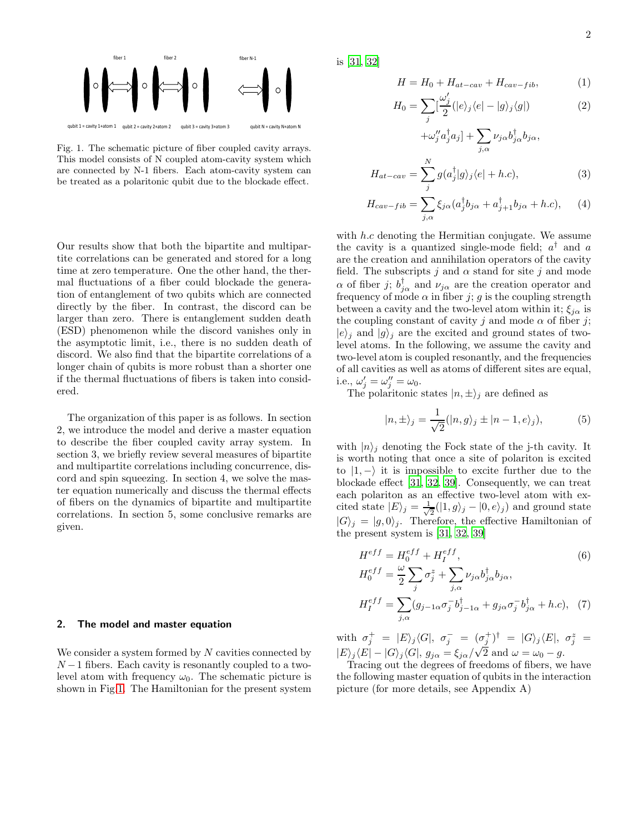

<span id="page-1-0"></span>Fig. 1. The schematic picture of fiber coupled cavity arrays. This model consists of N coupled atom-cavity system which are connected by N-1 fibers. Each atom-cavity system can be treated as a polaritonic qubit due to the blockade effect.

Our results show that both the bipartite and multipartite correlations can be generated and stored for a long time at zero temperature. One the other hand, the thermal fluctuations of a fiber could blockade the generation of entanglement of two qubits which are connected directly by the fiber. In contrast, the discord can be larger than zero. There is entanglement sudden death (ESD) phenomenon while the discord vanishes only in the asymptotic limit, i.e., there is no sudden death of discord. We also find that the bipartite correlations of a longer chain of qubits is more robust than a shorter one if the thermal fluctuations of fibers is taken into considered.

The organization of this paper is as follows. In section 2, we introduce the model and derive a master equation to describe the fiber coupled cavity array system. In section 3, we briefly review several measures of bipartite and multipartite correlations including concurrence, discord and spin squeezing. In section 4, we solve the master equation numerically and discuss the thermal effects of fibers on the dynamics of bipartite and multipartite correlations. In section 5, some conclusive remarks are given.

## 2. The model and master equation

We consider a system formed by  $N$  cavities connected by  $N-1$  fibers. Each cavity is resonantly coupled to a twolevel atom with frequency  $\omega_0$ . The schematic picture is shown in Fig[.1.](#page-1-0) The Hamiltonian for the present system is [\[31,](#page-7-3) [32\]](#page-7-4)

$$
H = H_0 + H_{at-cav} + H_{cav-fib}, \tag{1}
$$

$$
H_0 = \sum_j \left[\frac{\omega_j'}{2} (|e\rangle_j \langle e| - |g\rangle_j \langle g|) \right] \tag{2}
$$

$$
+\omega''_j a_j^{\dagger} a_j] + \sum_{j,\alpha} \nu_{j\alpha} b_{j\alpha}^{\dagger} b_{j\alpha},
$$

$$
H_{at-cav} = \sum_j^N g(a_j^{\dagger}|g\rangle_j \langle e| + h.c), \qquad (3)
$$

$$
H_{cav-fib} = \sum_{j,\alpha}^{J} \xi_{j\alpha} (a_j^{\dagger} b_{j\alpha} + a_{j+1}^{\dagger} b_{j\alpha} + h.c), \quad (4)
$$

with  $h.c$  denoting the Hermitian conjugate. We assume the cavity is a quantized single-mode field;  $a^{\dagger}$  and a are the creation and annihilation operators of the cavity field. The subscripts j and  $\alpha$  stand for site j and mode  $\alpha$  of fiber j;  $b_{j\alpha}^{\dagger}$  and  $\nu_{j\alpha}$  are the creation operator and frequency of mode  $\alpha$  in fiber j; g is the coupling strength between a cavity and the two-level atom within it;  $\xi_{j\alpha}$  is the coupling constant of cavity j and mode  $\alpha$  of fiber j;  $|e\rangle_j$  and  $|g\rangle_j$  are the excited and ground states of twolevel atoms. In the following, we assume the cavity and two-level atom is coupled resonantly, and the frequencies of all cavities as well as atoms of different sites are equal, i.e.,  $\omega'_j = \omega''_j = \omega_0$ .

The polaritonic states  $|n, \pm\rangle_j$  are defined as

$$
|n, \pm\rangle_j = \frac{1}{\sqrt{2}}(|n, g\rangle_j \pm |n - 1, e\rangle_j), \tag{5}
$$

with  $|n\rangle_i$  denoting the Fock state of the j-th cavity. It is worth noting that once a site of polariton is excited to  $|1,-\rangle$  it is impossible to excite further due to the blockade effect [\[31](#page-7-3), [32,](#page-7-4) [39\]](#page-7-2). Consequently, we can treat each polariton as an effective two-level atom with excited state  $|E\rangle_j = \frac{1}{\sqrt{j}}$  $\frac{1}{2}(|1, g\rangle_j - |0, e\rangle_j)$  and ground state  $|G\rangle_j = |g, 0\rangle_j$ . Therefore, the effective Hamiltonian of the present system is [\[31,](#page-7-3) [32,](#page-7-4) [39\]](#page-7-2)

$$
H^{eff} = H_0^{eff} + H_I^{eff},\tag{6}
$$

$$
H_0^{eff} = \frac{\omega}{2} \sum_j \sigma_j^z + \sum_{j,\alpha} \nu_{j\alpha} b_{j\alpha}^{\dagger} b_{j\alpha},
$$
  

$$
H_I^{eff} = \sum_{j,\alpha} (g_{j-1\alpha} \sigma_j^{-} b_{j-1\alpha}^{\dagger} + g_{j\alpha} \sigma_j^{-} b_{j\alpha}^{\dagger} + h.c), \quad (7)
$$

with  $\sigma_j^+ = |E\rangle_j \langle G|, \sigma_j^- = (\sigma_j^+)^\dagger = |G\rangle_j \langle E|, \sigma_j^z =$  $|E\rangle_j \langle E| - |G\rangle_j \langle G|, g_{j\alpha} = \xi_{j\alpha}/\sqrt{2}$  and  $\omega = \omega_0 - g$ .

Tracing out the degrees of freedoms of fibers, we have the following master equation of qubits in the interaction picture (for more details, see Appendix A)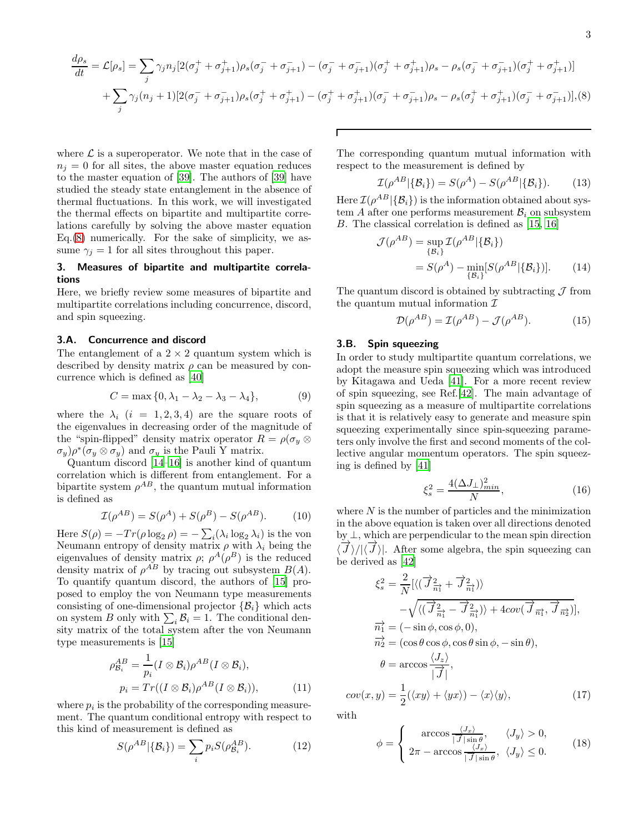$$
-3\,
$$

<span id="page-2-0"></span>
$$
\frac{d\rho_s}{dt} = \mathcal{L}[\rho_s] = \sum_j \gamma_j n_j \left[ 2(\sigma_j^+ + \sigma_{j+1}^+) \rho_s(\sigma_j^- + \sigma_{j+1}^-) - (\sigma_j^- + \sigma_{j+1}^-) (\sigma_j^+ + \sigma_{j+1}^+) \rho_s - \rho_s(\sigma_j^- + \sigma_{j+1}^-) (\sigma_j^+ + \sigma_{j+1}^+) \right]
$$

$$
+ \sum_j \gamma_j (n_j + 1) \left[ 2(\sigma_j^- + \sigma_{j+1}^-) \rho_s(\sigma_j^+ + \sigma_{j+1}^+) - (\sigma_j^+ + \sigma_{j+1}^+) (\sigma_j^- + \sigma_{j+1}^-) \rho_s - \rho_s(\sigma_j^+ + \sigma_{j+1}^+) (\sigma_j^- + \sigma_{j+1}^-) \right], (8)
$$

where  $\mathcal L$  is a superoperator. We note that in the case of  $n_i = 0$  for all sites, the above master equation reduces to the master equation of [\[39](#page-7-2)]. The authors of [\[39\]](#page-7-2) have studied the steady state entanglement in the absence of thermal fluctuations. In this work, we will investigated the thermal effects on bipartite and multipartite correlations carefully by solving the above master equation Eq.[\(8\)](#page-2-0) numerically. For the sake of simplicity, we assume  $\gamma_i = 1$  for all sites throughout this paper.

# 3. Measures of bipartite and multipartite correlations

Here, we briefly review some measures of bipartite and multipartite correlations including concurrence, discord, and spin squeezing.

## 3.A. Concurrence and discord

The entanglement of a  $2 \times 2$  quantum system which is described by density matrix  $\rho$  can be measured by concurrence which is defined as [\[40\]](#page-7-10)

$$
C = \max\{0, \lambda_1 - \lambda_2 - \lambda_3 - \lambda_4\},\tag{9}
$$

where the  $\lambda_i$  (i = 1, 2, 3, 4) are the square roots of the eigenvalues in decreasing order of the magnitude of the "spin-flipped" density matrix operator  $R = \rho(\sigma_y \otimes$  $(\sigma_y) \rho^* (\sigma_y \otimes \sigma_y)$  and  $\sigma_y$  is the Pauli Y matrix.

Quantum discord [\[14](#page-6-12)[–16\]](#page-6-5) is another kind of quantum correlation which is different from entanglement. For a bipartite system  $\rho^{AB}$ , the quantum mutual information is defined as

$$
\mathcal{I}(\rho^{AB}) = S(\rho^A) + S(\rho^B) - S(\rho^{AB}). \tag{10}
$$

Here  $S(\rho) = -Tr(\rho \log_2 \rho) = -\sum_i (\lambda_i \log_2 \lambda_i)$  is the von Neumann entropy of density matrix  $\rho$  with  $\lambda_i$  being the eigenvalues of density matrix  $\rho$ ;  $\rho^{A}(\rho^{B})$  is the reduced density matrix of  $\rho^{AB}$  by tracing out subsystem  $B(A)$ . To quantify quantum discord, the authors of [\[15](#page-6-9)] proposed to employ the von Neumann type measurements consisting of one-dimensional projector  $\{\mathcal{B}_i\}$  which acts on system B only with  $\sum_i \mathcal{B}_i = 1$ . The conditional density matrix of the total system after the von Neumann type measurements is [\[15\]](#page-6-9)

$$
\rho_{\mathcal{B}_i}^{AB} = \frac{1}{p_i} (I \otimes \mathcal{B}_i) \rho^{AB} (I \otimes \mathcal{B}_i),
$$
  
\n
$$
p_i = Tr((I \otimes \mathcal{B}_i) \rho^{AB} (I \otimes \mathcal{B}_i)),
$$
\n(11)

where  $p_i$  is the probability of the corresponding measurement. The quantum conditional entropy with respect to this kind of measurement is defined as

$$
S(\rho^{AB}|\{\mathcal{B}_i\}) = \sum_i p_i S(\rho_{\mathcal{B}_i}^{AB}). \tag{12}
$$

The corresponding quantum mutual information with respect to the measurement is defined by

$$
\mathcal{I}(\rho^{AB}|\{\mathcal{B}_i\}) = S(\rho^A) - S(\rho^{AB}|\{\mathcal{B}_i\}).
$$
 (13)

Here  $\mathcal{I}(\rho^{AB}|\{\mathcal{B}_i\})$  is the information obtained about system A after one performs measurement  $\mathcal{B}_i$  on subsystem B. The classical correlation is defined as [\[15](#page-6-9), [16](#page-6-5)]

$$
\mathcal{J}(\rho^{AB}) = \sup_{\{\mathcal{B}_i\}} \mathcal{I}(\rho^{AB} | \{\mathcal{B}_i\})
$$
  
= 
$$
S(\rho^A) - \min_{\{\mathcal{B}_i\}} [S(\rho^{AB} | \{\mathcal{B}_i\})].
$$
 (14)

The quantum discord is obtained by subtracting  $\mathcal J$  from the quantum mutual information  $\mathcal I$ 

$$
\mathcal{D}(\rho^{AB}) = \mathcal{I}(\rho^{AB}) - \mathcal{J}(\rho^{AB}). \tag{15}
$$

#### 3.B. Spin squeezing

In order to study multipartite quantum correlations, we adopt the measure spin squeezing which was introduced by Kitagawa and Ueda [\[41\]](#page-7-11). For a more recent review of spin squeezing, see Ref.[\[42\]](#page-7-12). The main advantage of spin squeezing as a measure of multipartite correlations is that it is relatively easy to generate and measure spin squeezing experimentally since spin-squeezing parameters only involve the first and second moments of the collective angular momentum operators. The spin squeezing is defined by [\[41\]](#page-7-11)

$$
\xi_s^2 = \frac{4(\Delta J_\perp)_{min}^2}{N},\tag{16}
$$

where  $N$  is the number of particles and the minimization in the above equation is taken over all directions denoted by ⊥, which are perpendicular to the mean spin direction  $\langle \overrightarrow{J}\rangle/|\langle \overrightarrow{J}\rangle|$ . After some algebra, the spin squeezing can be derived as [\[42](#page-7-12)]

$$
\xi_s^2 = \frac{2}{N} [\langle (\vec{J}_{\frac{n_1}{n_1}}^2 + \vec{J}_{\frac{n_1}{n_1}}^2) \rangle
$$
  
\n
$$
-\sqrt{\langle (\vec{J}_{\frac{n_1}{n_1}}^2 - \vec{J}_{\frac{n_1}{n_1}}^2) \rangle + 4cov(\vec{J}_{\frac{n_1}{n_1}}, \vec{J}_{\frac{n_2}{n_2}})],
$$
  
\n
$$
\vec{n}_1^2 = (-\sin \phi, \cos \phi, 0),
$$
  
\n
$$
\vec{n}_2^2 = (\cos \theta \cos \phi, \cos \theta \sin \phi, -\sin \theta),
$$
  
\n
$$
\theta = \arccos \frac{\langle J_z \rangle}{|\vec{J}|},
$$
  
\n
$$
cov(x, y) = \frac{1}{2} (\langle xy \rangle + \langle yx \rangle) - \langle x \rangle \langle y \rangle,
$$
 (17)

with

$$
\phi = \begin{cases} \arccos \frac{\langle J_x \rangle}{|\vec{J}|\sin \theta}, & \langle J_y \rangle > 0, \\ 2\pi - \arccos \frac{\langle J_x \rangle}{|\vec{J}|\sin \theta}, & \langle J_y \rangle \le 0. \end{cases}
$$
(18)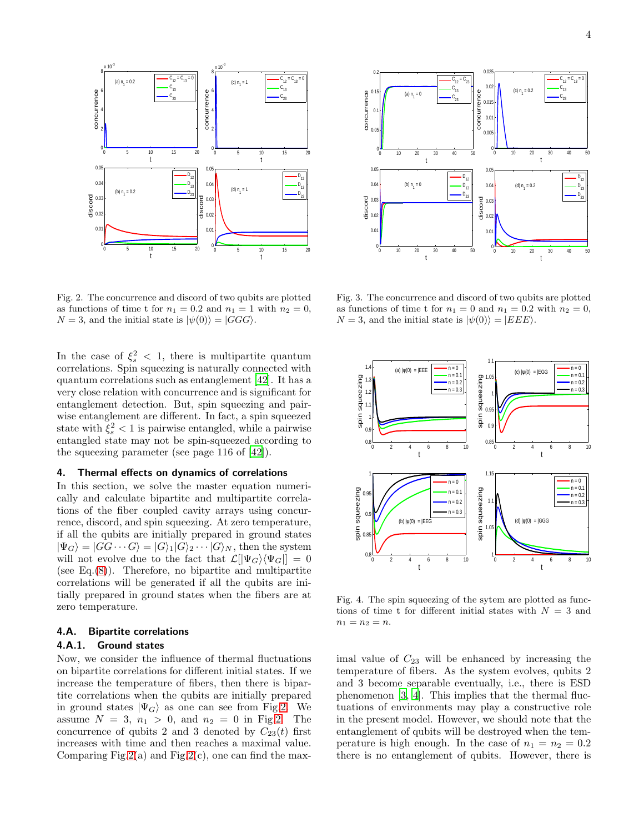

<span id="page-3-0"></span>Fig. 2. The concurrence and discord of two qubits are plotted as functions of time t for  $n_1 = 0.2$  and  $n_1 = 1$  with  $n_2 = 0$ ,  $N = 3$ , and the initial state is  $|\psi(0)\rangle = |GGG\rangle$ .

In the case of  $\xi_s^2$  < 1, there is multipartite quantum correlations. Spin squeezing is naturally connected with quantum correlations such as entanglement [\[42\]](#page-7-12). It has a very close relation with concurrence and is significant for entanglement detection. But, spin squeezing and pairwise entanglement are different. In fact, a spin squeezed state with  $\xi_s^2 < 1$  is pairwise entangled, while a pairwise entangled state may not be spin-squeezed according to the squeezing parameter (see page 116 of [\[42](#page-7-12)]).

## 4. Thermal effects on dynamics of correlations

In this section, we solve the master equation numerically and calculate bipartite and multipartite correlations of the fiber coupled cavity arrays using concurrence, discord, and spin squeezing. At zero temperature, if all the qubits are initially prepared in ground states  $|\Psi_G\rangle = |GG \cdots G\rangle = |G\rangle_1 |G\rangle_2 \cdots |G\rangle_N$ , then the system will not evolve due to the fact that  $\mathcal{L}[\Psi_G\rangle\langle\Psi_G|] = 0$ (see Eq. $(8)$ ). Therefore, no bipartite and multipartite correlations will be generated if all the qubits are initially prepared in ground states when the fibers are at zero temperature.

#### 4.A. Bipartite correlations

#### 4.A.1. Ground states

Now, we consider the influence of thermal fluctuations on bipartite correlations for different initial states. If we increase the temperature of fibers, then there is bipartite correlations when the qubits are initially prepared in ground states  $|\Psi_G\rangle$  as one can see from Fig[.2.](#page-3-0) We assume  $N = 3$ ,  $n_1 > 0$ , and  $n_2 = 0$  in Fig[.2.](#page-3-0) The concurrence of qubits 2 and 3 denoted by  $C_{23}(t)$  first increases with time and then reaches a maximal value. Comparing Fig[.2\(](#page-3-0)a) and Fig.2(c), one can find the max-



<span id="page-3-1"></span>Fig. 3. The concurrence and discord of two qubits are plotted as functions of time t for  $n_1 = 0$  and  $n_1 = 0.2$  with  $n_2 = 0$ ,  $N = 3$ , and the initial state is  $|\psi(0)\rangle = |EEE\rangle$ .



<span id="page-3-2"></span>Fig. 4. The spin squeezing of the sytem are plotted as functions of time t for different initial states with  $N = 3$  and  $n_1 = n_2 = n$ .

imal value of  $C_{23}$  will be enhanced by increasing the temperature of fibers. As the system evolves, qubits 2 and 3 become separable eventually, i.e., there is ESD phenomenon [\[3](#page-6-2), [4\]](#page-6-13). This implies that the thermal fluctuations of environments may play a constructive role in the present model. However, we should note that the entanglement of qubits will be destroyed when the temperature is high enough. In the case of  $n_1 = n_2 = 0.2$ there is no entanglement of qubits. However, there is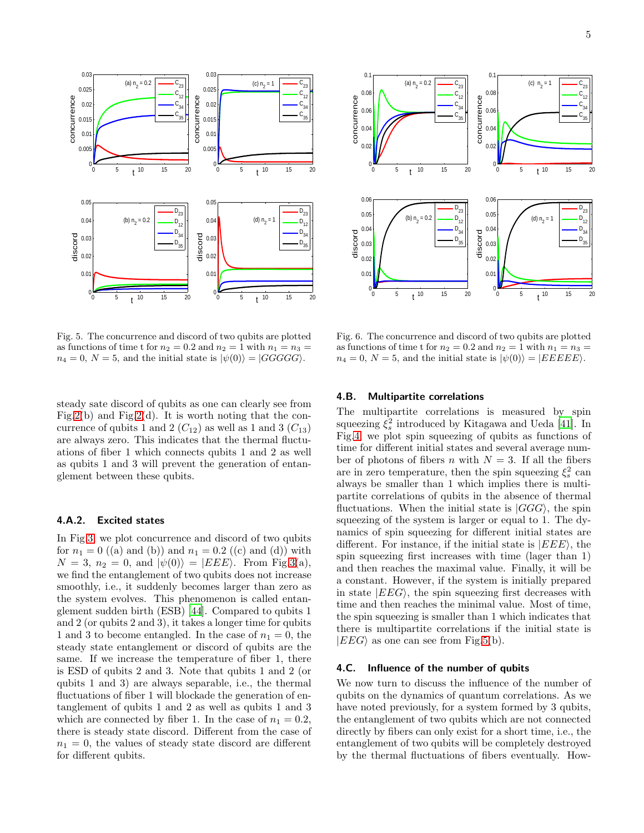

<span id="page-4-0"></span>Fig. 5. The concurrence and discord of two qubits are plotted as functions of time t for  $n_2 = 0.2$  and  $n_2 = 1$  with  $n_1 = n_3 =$  $n_4 = 0, N = 5$ , and the initial state is  $|\psi(0)\rangle = |GGGGG\rangle$ .

steady sate discord of qubits as one can clearly see from Fig[.2\(](#page-3-0)b) and Fig.2(d). It is worth noting that the concurrence of qubits 1 and 2  $(C_{12})$  as well as 1 and 3  $(C_{13})$ are always zero. This indicates that the thermal fluctuations of fiber 1 which connects qubits 1 and 2 as well as qubits 1 and 3 will prevent the generation of entanglement between these qubits.

## 4.A.2. Excited states

In Fig[.3,](#page-3-1) we plot concurrence and discord of two qubits for  $n_1 = 0$  ((a) and (b)) and  $n_1 = 0.2$  ((c) and (d)) with  $N = 3$ ,  $n_2 = 0$ , and  $|\psi(0)\rangle = |EEE\rangle$ . From Fig[.3\(](#page-3-1)a), we find the entanglement of two qubits does not increase smoothly, i.e., it suddenly becomes larger than zero as the system evolves. This phenomenon is called entanglement sudden birth (ESB) [\[44\]](#page-7-13). Compared to qubits 1 and 2 (or qubits 2 and 3), it takes a longer time for qubits 1 and 3 to become entangled. In the case of  $n_1 = 0$ , the steady state entanglement or discord of qubits are the same. If we increase the temperature of fiber 1, there is ESD of qubits 2 and 3. Note that qubits 1 and 2 (or qubits 1 and 3) are always separable, i.e., the thermal fluctuations of fiber 1 will blockade the generation of entanglement of qubits 1 and 2 as well as qubits 1 and 3 which are connected by fiber 1. In the case of  $n_1 = 0.2$ , there is steady state discord. Different from the case of  $n_1 = 0$ , the values of steady state discord are different for different qubits.



<span id="page-4-1"></span>Fig. 6. The concurrence and discord of two qubits are plotted as functions of time t for  $n_2 = 0.2$  and  $n_2 = 1$  with  $n_1 = n_3 =$  $n_4 = 0, N = 5$ , and the initial state is  $|\psi(0)\rangle = |EEEEE\rangle$ .

## 4.B. Multipartite correlations

The multipartite correlations is measured by spin squeezing  $\xi_s^2$  introduced by Kitagawa and Ueda [\[41](#page-7-11)]. In Fig[.4,](#page-3-2) we plot spin squeezing of qubits as functions of time for different initial states and several average number of photons of fibers n with  $N = 3$ . If all the fibers are in zero temperature, then the spin squeezing  $\xi_s^2$  can always be smaller than 1 which implies there is multipartite correlations of qubits in the absence of thermal fluctuations. When the initial state is  $|GGG\rangle$ , the spin squeezing of the system is larger or equal to 1. The dynamics of spin squeezing for different initial states are different. For instance, if the initial state is  $|EEE\rangle$ , the spin squeezing first increases with time (lager than 1) and then reaches the maximal value. Finally, it will be a constant. However, if the system is initially prepared in state  $|EEG\rangle$ , the spin squeezing first decreases with time and then reaches the minimal value. Most of time, the spin squeezing is smaller than 1 which indicates that there is multipartite correlations if the initial state is  $|EEG\rangle$  as one can see from Fig[.5\(](#page-4-0)b).

#### 4.C. Influence of the number of qubits

We now turn to discuss the influence of the number of qubits on the dynamics of quantum correlations. As we have noted previously, for a system formed by 3 qubits, the entanglement of two qubits which are not connected directly by fibers can only exist for a short time, i.e., the entanglement of two qubits will be completely destroyed by the thermal fluctuations of fibers eventually. How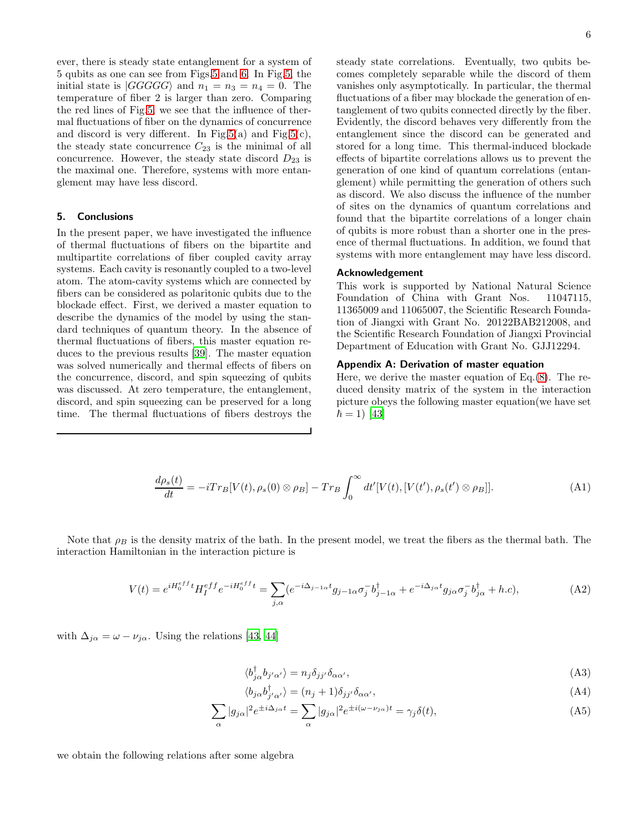ever, there is steady state entanglement for a system of 5 qubits as one can see from Figs[.5](#page-4-0) and [6.](#page-4-1) In Fig[.5,](#page-4-0) the initial state is  $|GGGGG\rangle$  and  $n_1 = n_3 = n_4 = 0$ . The temperature of fiber 2 is larger than zero. Comparing the red lines of Fig[.5,](#page-4-0) we see that the influence of thermal fluctuations of fiber on the dynamics of concurrence and discord is very different. In Fig[.5\(](#page-4-0)a) and Fig.5(c), the steady state concurrence  $C_{23}$  is the minimal of all concurrence. However, the steady state discord  $D_{23}$  is the maximal one. Therefore, systems with more entanglement may have less discord.

## 5. Conclusions

In the present paper, we have investigated the influence of thermal fluctuations of fibers on the bipartite and multipartite correlations of fiber coupled cavity array systems. Each cavity is resonantly coupled to a two-level atom. The atom-cavity systems which are connected by fibers can be considered as polaritonic qubits due to the blockade effect. First, we derived a master equation to describe the dynamics of the model by using the standard techniques of quantum theory. In the absence of thermal fluctuations of fibers, this master equation reduces to the previous results [\[39](#page-7-2)]. The master equation was solved numerically and thermal effects of fibers on the concurrence, discord, and spin squeezing of qubits was discussed. At zero temperature, the entanglement, discord, and spin squeezing can be preserved for a long time. The thermal fluctuations of fibers destroys the

steady state correlations. Eventually, two qubits becomes completely separable while the discord of them vanishes only asymptotically. In particular, the thermal fluctuations of a fiber may blockade the generation of entanglement of two qubits connected directly by the fiber. Evidently, the discord behaves very differently from the entanglement since the discord can be generated and stored for a long time. This thermal-induced blockade effects of bipartite correlations allows us to prevent the generation of one kind of quantum correlations (entanglement) while permitting the generation of others such as discord. We also discuss the influence of the number of sites on the dynamics of quantum correlations and found that the bipartite correlations of a longer chain of qubits is more robust than a shorter one in the presence of thermal fluctuations. In addition, we found that systems with more entanglement may have less discord.

## Acknowledgement

This work is supported by National Natural Science Foundation of China with Grant Nos. 11047115, 11365009 and 11065007, the Scientific Research Foundation of Jiangxi with Grant No. 20122BAB212008, and the Scientific Research Foundation of Jiangxi Provincial Department of Education with Grant No. GJJ12294.

# Appendix A: Derivation of master equation

Here, we derive the master equation of Eq.[\(8\)](#page-2-0). The reduced density matrix of the system in the interaction picture obeys the following master equation(we have set  $\hbar = 1$ ) [\[43\]](#page-7-14)

<span id="page-5-0"></span>
$$
\frac{d\rho_s(t)}{dt} = -iTr_B[V(t), \rho_s(0) \otimes \rho_B] - Tr_B \int_0^\infty dt'[V(t), [V(t'), \rho_s(t') \otimes \rho_B]]. \tag{A1}
$$

Note that  $\rho_B$  is the density matrix of the bath. In the present model, we treat the fibers as the thermal bath. The interaction Hamiltonian in the interaction picture is

$$
V(t) = e^{iH_0^{eff}} H_I^{eff} e^{-iH_0^{eff}t} = \sum_{j,\alpha} (e^{-i\Delta_{j-1\alpha}t} g_{j-1\alpha} \sigma_j^- b_{j-1\alpha}^\dagger + e^{-i\Delta_{j\alpha}t} g_{j\alpha} \sigma_j^- b_{j\alpha}^\dagger + h.c),\tag{A2}
$$

with  $\Delta_{i\alpha} = \omega - \nu_{i\alpha}$ . Using the relations [\[43](#page-7-14), [44](#page-7-13)]

$$
\langle b_{j\alpha}^{\dagger} b_{j'\alpha'} \rangle = n_j \delta_{jj'} \delta_{\alpha\alpha'},\tag{A3}
$$

$$
\langle b_{j\alpha} b_{j'\alpha'}^{\dagger} \rangle = (n_j + 1)\delta_{jj'} \delta_{\alpha\alpha'}, \tag{A4}
$$

$$
\sum_{\alpha} |g_{j\alpha}|^2 e^{\pm i\Delta_{j\alpha}t} = \sum_{\alpha} |g_{j\alpha}|^2 e^{\pm i(\omega - \nu_{j\alpha})t} = \gamma_j \delta(t),\tag{A5}
$$

we obtain the following relations after some algebra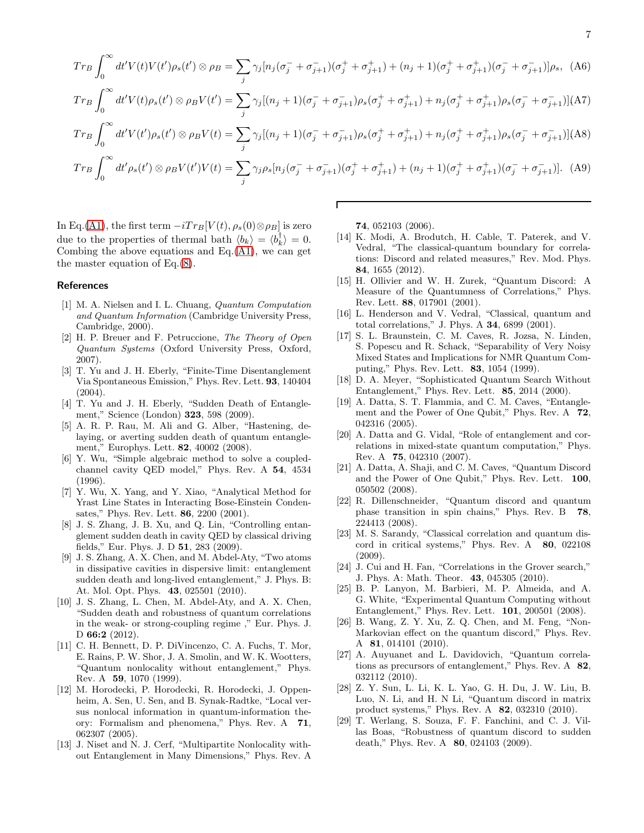$$
Tr_{B} \int_{0}^{\infty} dt' V(t) V(t') \rho_{s}(t') \otimes \rho_{B} = \sum_{j} \gamma_{j} [n_{j}(\sigma_{j}^{-} + \sigma_{j+1}^{-}) (\sigma_{j}^{+} + \sigma_{j+1}^{+}) + (n_{j} + 1)(\sigma_{j}^{+} + \sigma_{j+1}^{+}) (\sigma_{j}^{-} + \sigma_{j+1}^{-})] \rho_{s}, \quad (A6)
$$
  
\n
$$
Tr_{B} \int_{0}^{\infty} dt' V(t) \rho_{s}(t') \otimes \rho_{B} V(t') = \sum_{j} \gamma_{j} [(n_{j} + 1)(\sigma_{j}^{-} + \sigma_{j+1}^{-}) \rho_{s} (\sigma_{j}^{+} + \sigma_{j+1}^{+}) + n_{j}(\sigma_{j}^{+} + \sigma_{j+1}^{+}) \rho_{s} (\sigma_{j}^{-} + \sigma_{j+1}^{-})] [A7]
$$
  
\n
$$
Tr_{B} \int_{0}^{\infty} dt' V(t') \rho_{s}(t') \otimes \rho_{B} V(t) = \sum_{j} \gamma_{j} [(n_{j} + 1)(\sigma_{j}^{-} + \sigma_{j+1}^{-}) \rho_{s} (\sigma_{j}^{+} + \sigma_{j+1}^{+}) + n_{j}(\sigma_{j}^{+} + \sigma_{j+1}^{+}) \rho_{s} (\sigma_{j}^{-} + \sigma_{j+1}^{-})] [A8]
$$
  
\n
$$
Tr_{B} \int_{0}^{\infty} dt' \rho_{s}(t') \otimes \rho_{B} V(t') V(t) = \sum_{j} \gamma_{j} \rho_{s} [n_{j}(\sigma_{j}^{-} + \sigma_{j+1}^{-}) (\sigma_{j}^{+} + \sigma_{j+1}^{+}) + (n_{j} + 1)(\sigma_{j}^{+} + \sigma_{j+1}^{+}) (\sigma_{j}^{-} + \sigma_{j+1}^{-})]. \quad (A9)
$$

Г

In Eq.[\(A1\)](#page-5-0), the first term  $-iTr_B[V(t), \rho_s(0) \otimes \rho_B]$  is zero due to the properties of thermal bath  $\langle b_k \rangle = \langle b_k^{\dagger} \rangle = 0.$ Combing the above equations and  $Eq.(A1)$  $Eq.(A1)$ , we can get the master equation of Eq.[\(8\)](#page-2-0).

#### References

- <span id="page-6-0"></span>[1] M. A. Nielsen and I. L. Chuang, Quantum Computation and Quantum Information (Cambridge University Press, Cambridge, 2000).
- <span id="page-6-1"></span>[2] H. P. Breuer and F. Petruccione, The Theory of Open Quantum Systems (Oxford University Press, Oxford, 2007).
- <span id="page-6-2"></span>[3] T. Yu and J. H. Eberly, "Finite-Time Disentanglement Via Spontaneous Emission," Phys. Rev. Lett. 93, 140404  $(2004).$
- <span id="page-6-13"></span>[4] T. Yu and J. H. Eberly, "Sudden Death of Entanglement," Science (London) 323, 598 (2009).
- [5] A. R. P. Rau, M. Ali and G. Alber, "Hastening, delaying, or averting sudden death of quantum entanglement," Europhys. Lett. 82, 40002 (2008).
- [6] Y. Wu, "Simple algebraic method to solve a coupledchannel cavity QED model," Phys. Rev. A 54, 4534 (1996).
- [7] Y. Wu, X. Yang, and Y. Xiao, "Analytical Method for Yrast Line States in Interacting Bose-Einstein Condensates," Phys. Rev. Lett. 86, 2200 (2001).
- [8] J. S. Zhang, J. B. Xu, and Q. Lin, "Controlling entanglement sudden death in cavity QED by classical driving fields," Eur. Phys. J. D 51, 283 (2009).
- [9] J. S. Zhang, A. X. Chen, and M. Abdel-Aty, "Two atoms in dissipative cavities in dispersive limit: entanglement sudden death and long-lived entanglement," J. Phys. B: At. Mol. Opt. Phys. 43, 025501 (2010).
- <span id="page-6-3"></span>[10] J. S. Zhang, L. Chen, M. Abdel-Aty, and A. X. Chen, "Sudden death and robustness of quantum correlations in the weak- or strong-coupling regime ," Eur. Phys. J. D 66:2 (2012).
- <span id="page-6-4"></span>[11] C. H. Bennett, D. P. DiVincenzo, C. A. Fuchs, T. Mor, E. Rains, P. W. Shor, J. A. Smolin, and W. K. Wootters, "Quantum nonlocality without entanglement," Phys. Rev. A 59, 1070 (1999).
- [12] M. Horodecki, P. Horodecki, R. Horodecki, J. Oppenheim, A. Sen, U. Sen, and B. Synak-Radtke, "Local versus nonlocal information in quantum-information theory: Formalism and phenomena," Phys. Rev. A 71, 062307 (2005).
- [13] J. Niset and N. J. Cerf, "Multipartite Nonlocality without Entanglement in Many Dimensions," Phys. Rev. A

74, 052103 (2006).

- <span id="page-6-12"></span>[14] K. Modi, A. Brodutch, H. Cable, T. Paterek, and V. Vedral, "The classical-quantum boundary for correlations: Discord and related measures," Rev. Mod. Phys. 84, 1655 (2012).
- <span id="page-6-9"></span>[15] H. Ollivier and W. H. Zurek, "Quantum Discord: A Measure of the Quantumness of Correlations," Phys. Rev. Lett. 88, 017901 (2001).
- <span id="page-6-5"></span>[16] L. Henderson and V. Vedral, "Classical, quantum and total correlations," J. Phys. A 34, 6899 (2001).
- <span id="page-6-6"></span>[17] S. L. Braunstein, C. M. Caves, R. Jozsa, N. Linden, S. Popescu and R. Schack, "Separability of Very Noisy Mixed States and Implications for NMR Quantum Computing," Phys. Rev. Lett. 83, 1054 (1999).
- [18] D. A. Meyer, "Sophisticated Quantum Search Without Entanglement," Phys. Rev. Lett. 85, 2014 (2000).
- [19] A. Datta, S. T. Flammia, and C. M. Caves, "Entanglement and the Power of One Qubit," Phys. Rev. A 72, 042316 (2005).
- [20] A. Datta and G. Vidal, "Role of entanglement and correlations in mixed-state quantum computation," Phys. Rev. A 75, 042310 (2007).
- [21] A. Datta, A. Shaji, and C. M. Caves, "Quantum Discord and the Power of One Qubit," Phys. Rev. Lett. 100, 050502 (2008).
- [22] R. Dillenschneider, "Quantum discord and quantum phase transition in spin chains," Phys. Rev. B 78, 224413 (2008).
- [23] M. S. Sarandy, "Classical correlation and quantum discord in critical systems," Phys. Rev. A 80, 022108 (2009).
- <span id="page-6-7"></span>[24] J. Cui and H. Fan, "Correlations in the Grover search," J. Phys. A: Math. Theor. 43, 045305 (2010).
- <span id="page-6-8"></span>[25] B. P. Lanyon, M. Barbieri, M. P. Almeida, and A. G. White, "Experimental Quantum Computing without Entanglement," Phys. Rev. Lett. 101, 200501 (2008).
- <span id="page-6-10"></span>[26] B. Wang, Z. Y. Xu, Z. Q. Chen, and M. Feng, "Non-Markovian effect on the quantum discord," Phys. Rev. A 81, 014101 (2010).
- [27] A. Auyuanet and L. Davidovich, "Quantum correlations as precursors of entanglement," Phys. Rev. A 82, 032112 (2010).
- [28] Z. Y. Sun, L. Li, K. L. Yao, G. H. Du, J. W. Liu, B. Luo, N. Li, and H. N Li, "Quantum discord in matrix product systems," Phys. Rev. A 82, 032310 (2010).
- <span id="page-6-11"></span>[29] T. Werlang, S. Souza, F. F. Fanchini, and C. J. Villas Boas, "Robustness of quantum discord to sudden death," Phys. Rev. A **80**, 024103 (2009).